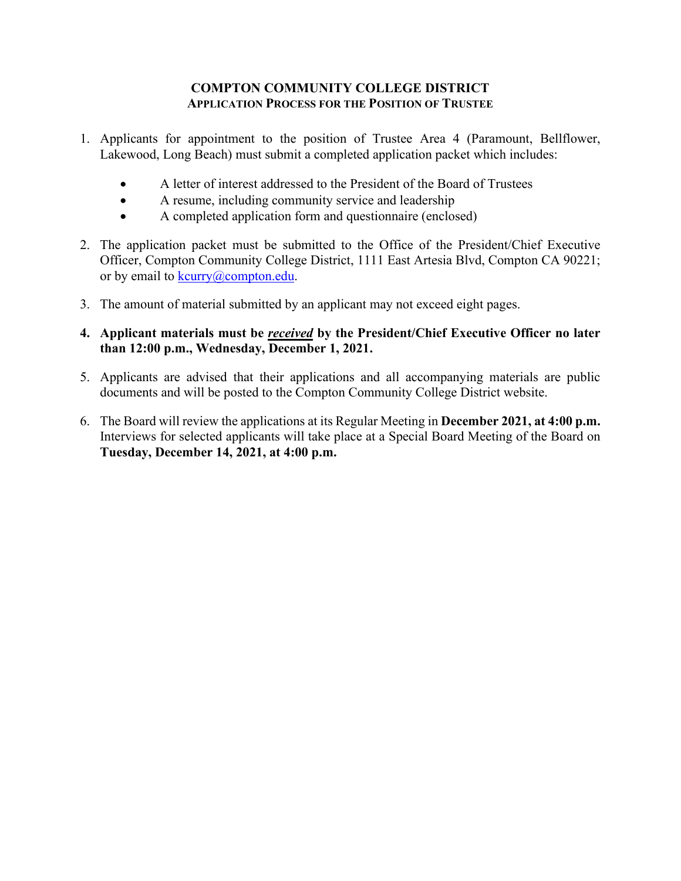#### **COMPTON COMMUNITY COLLEGE DISTRICT APPLICATION PROCESS FOR THE POSITION OF TRUSTEE**

- 1. Applicants for appointment to the position of Trustee Area 4 (Paramount, Bellflower, Lakewood, Long Beach) must submit a completed application packet which includes:
	- A letter of interest addressed to the President of the Board of Trustees
	- A resume, including community service and leadership
	- A completed application form and questionnaire (enclosed)
- 2. The application packet must be submitted to the Office of the President/Chief Executive Officer, Compton Community College District, 1111 East Artesia Blvd, Compton CA 90221; or by email to kcurry@compton.edu.
- 3. The amount of material submitted by an applicant may not exceed eight pages.
- **4. Applicant materials must be** *received* **by the President/Chief Executive Officer no later than 12:00 p.m., Wednesday, December 1, 2021.**
- 5. Applicants are advised that their applications and all accompanying materials are public documents and will be posted to the Compton Community College District website.
- 6. The Board will review the applications at its Regular Meeting in **December 2021, at 4:00 p.m.** Interviews for selected applicants will take place at a Special Board Meeting of the Board on **Tuesday, December 14, 2021, at 4:00 p.m.**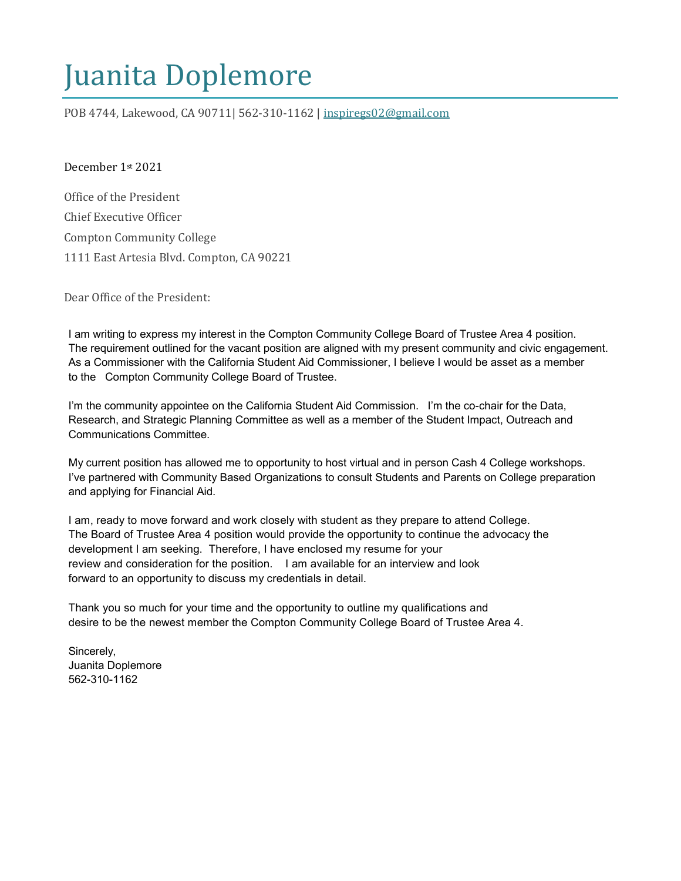# Juanita Doplemore

POB 4744, Lakewood, CA 90711| 562-310-1162 | [inspiregs02@gmail.com](mailto:inspiregs02@gmail.com)

December 1st 2021

Office of the President Chief Executive Officer Compton Community College 1111 East Artesia Blvd. Compton, CA 90221

Dear Office of the President:

I am writing to express my interest in the Compton Community College Board of Trustee Area 4 position. The requirement outlined for the vacant position are aligned with my present community and civic engagement. As a Commissioner with the California Student Aid Commissioner, I believe I would be asset as a member to the Compton Community College Board of Trustee.

I'm the community appointee on the California Student Aid Commission. I'm the co-chair for the Data, Research, and Strategic Planning Committee as well as a member of the Student Impact, Outreach and Communications Committee.

My current position has allowed me to opportunity to host virtual and in person Cash 4 College workshops. I've partnered with Community Based Organizations to consult Students and Parents on College preparation and applying for Financial Aid.

I am, ready to move forward and work closely with student as they prepare to attend College. The Board of Trustee Area 4 position would provide the opportunity to continue the advocacy the development I am seeking. Therefore, I have enclosed my resume for your review and consideration for the position. I am available for an interview and look forward to an opportunity to discuss my credentials in detail.

Thank you so much for your time and the opportunity to outline my qualifications and desire to be the newest member the Compton Community College Board of Trustee Area 4.

Sincerely, Juanita Doplemore 562-310-1162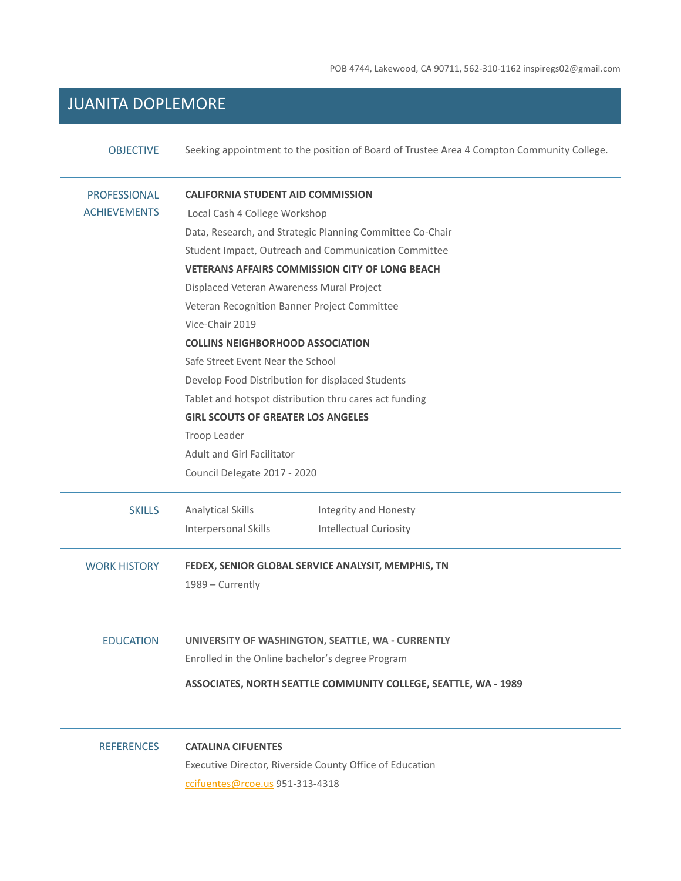POB 4744, Lakewood, CA 90711, 562-310-1162 inspiregs02@gmail.com

## JUANITA DOPLEMORE

| <b>OBJECTIVE</b>    | Seeking appointment to the position of Board of Trustee Area 4 Compton Community College. |  |
|---------------------|-------------------------------------------------------------------------------------------|--|
| <b>PROFESSIONAL</b> | <b>CALIFORNIA STUDENT AID COMMISSION</b>                                                  |  |
| <b>ACHIEVEMENTS</b> | Local Cash 4 College Workshop                                                             |  |
|                     | Data, Research, and Strategic Planning Committee Co-Chair                                 |  |
|                     | Student Impact, Outreach and Communication Committee                                      |  |
|                     | <b>VETERANS AFFAIRS COMMISSION CITY OF LONG BEACH</b>                                     |  |
|                     | Displaced Veteran Awareness Mural Project                                                 |  |
|                     | Veteran Recognition Banner Project Committee                                              |  |
|                     | Vice-Chair 2019                                                                           |  |
|                     | <b>COLLINS NEIGHBORHOOD ASSOCIATION</b>                                                   |  |
|                     | Safe Street Event Near the School                                                         |  |
|                     | Develop Food Distribution for displaced Students                                          |  |
|                     | Tablet and hotspot distribution thru cares act funding                                    |  |
|                     | <b>GIRL SCOUTS OF GREATER LOS ANGELES</b>                                                 |  |
|                     | Troop Leader                                                                              |  |
|                     | <b>Adult and Girl Facilitator</b>                                                         |  |
|                     | Council Delegate 2017 - 2020                                                              |  |
| <b>SKILLS</b>       | <b>Analytical Skills</b><br>Integrity and Honesty                                         |  |
|                     | Interpersonal Skills<br><b>Intellectual Curiosity</b>                                     |  |
| <b>WORK HISTORY</b> | FEDEX, SENIOR GLOBAL SERVICE ANALYSIT, MEMPHIS, TN<br>1989 - Currently                    |  |
| <b>EDUCATION</b>    | UNIVERSITY OF WASHINGTON, SEATTLE, WA - CURRENTLY                                         |  |
|                     | Enrolled in the Online bachelor's degree Program                                          |  |
|                     | ASSOCIATES, NORTH SEATTLE COMMUNITY COLLEGE, SEATTLE, WA - 1989                           |  |
| <b>REFERENCES</b>   | <b>CATALINA CIFUENTES</b>                                                                 |  |

Executive Director, Riverside County Office of Education [ccifuentes@rcoe.us](mailto:ccifuentes@rcoe.us) 951-313-4318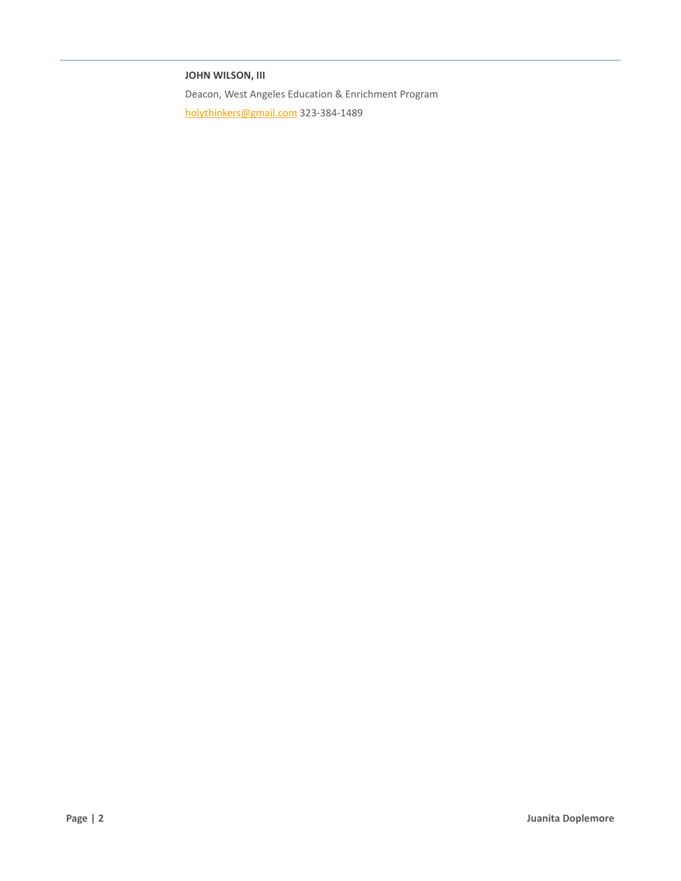#### **JOHN WILSON, III**

Deacon, West Angeles Education & Enrichment Program [holythinkers@gmail.com](mailto:holythinkers@gmail.com) 323-384-1489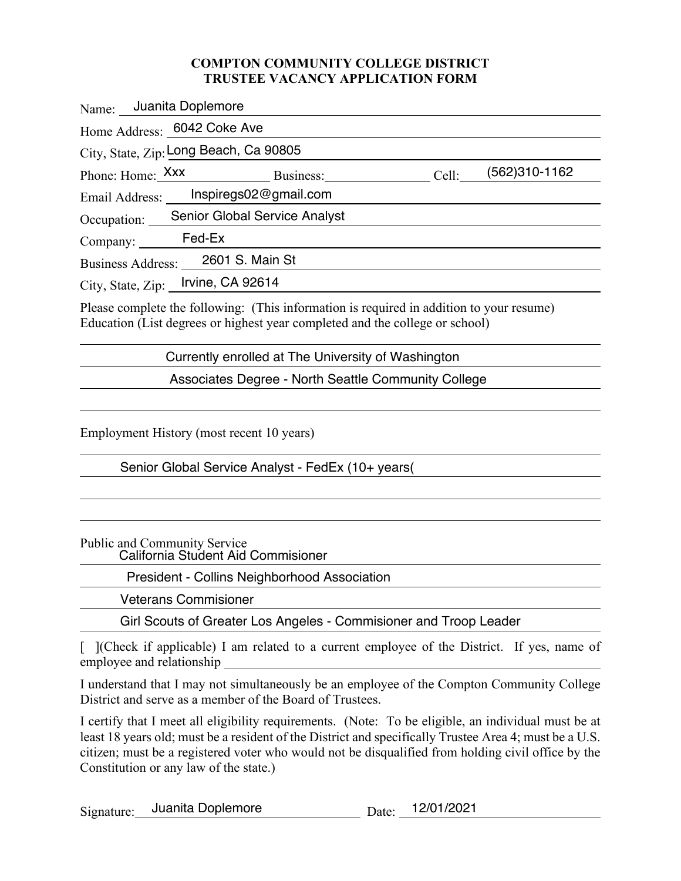#### **COMPTON COMMUNITY COLLEGE DISTRICT TRUSTEE VACANCY APPLICATION FORM**

| Name: Juanita Doplemore                     |       |               |  |  |
|---------------------------------------------|-------|---------------|--|--|
| Home Address: 6042 Coke Ave                 |       |               |  |  |
| City, State, Zip: Long Beach, Ca 90805      |       |               |  |  |
|                                             | Cell: | (562)310-1162 |  |  |
| Email Address: lnspiregs02@gmail.com        |       |               |  |  |
| Occupation: _ Senior Global Service Analyst |       |               |  |  |
| Company: Fed-Ex                             |       |               |  |  |
| Business Address: 2601 S. Main St           |       |               |  |  |
| City, State, Zip: Irvine, CA 92614          |       |               |  |  |
|                                             |       |               |  |  |

Please complete the following: (This information is required in addition to your resume) Education (List degrees or highest year completed and the college or school)

Currently enrolled at The University of Washington

Associates Degree - North Seattle Community College

Employment History (most recent 10 years)

Senior Global Service Analyst - FedEx (10+ years(

Public and Community Service

California Student Aid Commisioner

President - Collins Neighborhood Association

Veterans Commisioner

Girl Scouts of Greater Los Angeles - Commisioner and Troop Leader

[ ](Check if applicable) I am related to a current employee of the District. If yes, name of employee and relationship

I understand that I may not simultaneously be an employee of the Compton Community College District and serve as a member of the Board of Trustees.

I certify that I meet all eligibility requirements. (Note: To be eligible, an individual must be at least 18 years old; must be a resident of the District and specifically Trustee Area 4; must be a U.S. citizen; must be a registered voter who would not be disqualified from holding civil office by the Constitution or any law of the state.)

Signature: Juanita Doplemore<br>
Date: Date: 12/01/2021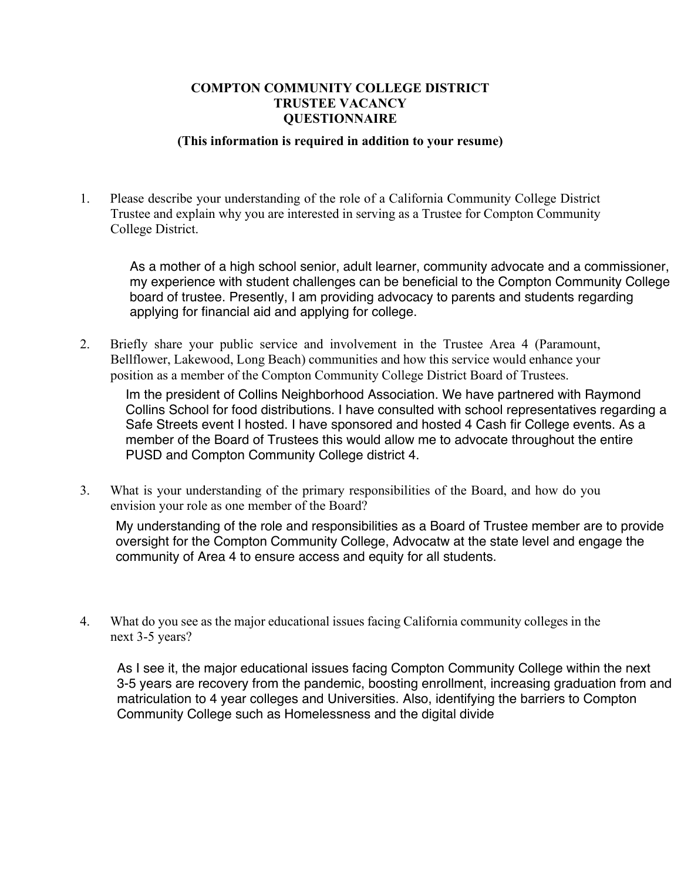#### **COMPTON COMMUNITY COLLEGE DISTRICT TRUSTEE VACANCY QUESTIONNAIRE**

#### **(This information is required in addition to your resume)**

1. Please describe your understanding of the role of a California Community College District Trustee and explain why you are interested in serving as a Trustee for Compton Community College District.

As a mother of a high school senior, adult learner, community advocate and a commissioner, my experience with student challenges can be beneficial to the Compton Community College board of trustee. Presently, I am providing advocacy to parents and students regarding applying for financial aid and applying for college.

2. Briefly share your public service and involvement in the Trustee Area 4 (Paramount, Bellflower, Lakewood, Long Beach) communities and how this service would enhance your position as a member of the Compton Community College District Board of Trustees.

Im the president of Collins Neighborhood Association. We have partnered with Raymond Collins School for food distributions. I have consulted with school representatives regarding a Safe Streets event I hosted. I have sponsored and hosted 4 Cash fir College events. As a member of the Board of Trustees this would allow me to advocate throughout the entire PUSD and Compton Community College district 4.

3. What is your understanding of the primary responsibilities of the Board, and how do you envision your role as one member of the Board?

My understanding of the role and responsibilities as a Board of Trustee member are to provide oversight for the Compton Community College, Advocatw at the state level and engage the community of Area 4 to ensure access and equity for all students.

4. What do you see as the major educational issues facing California community colleges in the next 3-5 years?

As I see it, the major educational issues facing Compton Community College within the next 3-5 years are recovery from the pandemic, boosting enrollment, increasing graduation from and matriculation to 4 year colleges and Universities. Also, identifying the barriers to Compton Community College such as Homelessness and the digital divide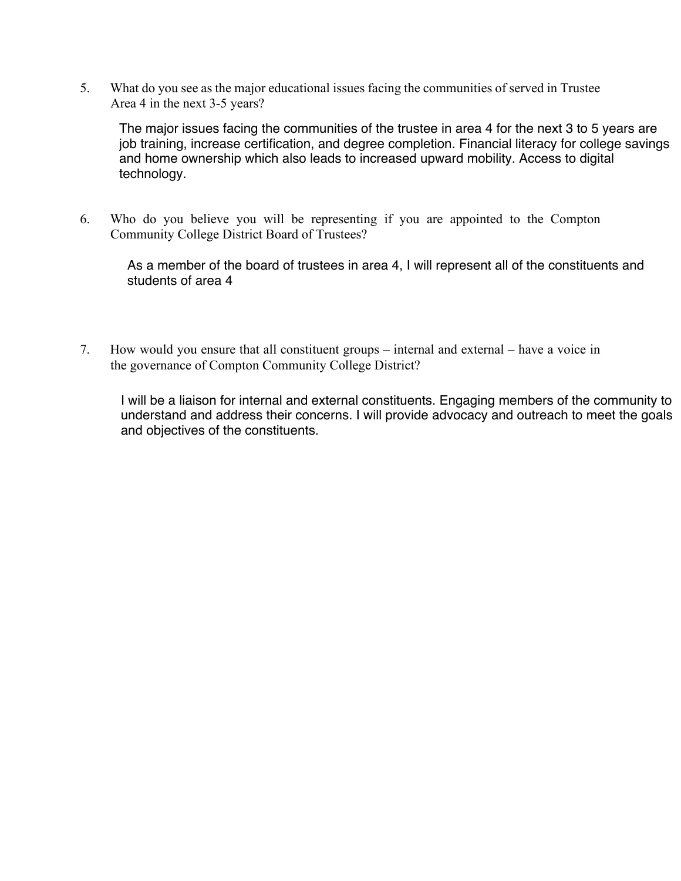5. What do you see as the major educational issues facing the communities of served in Trustee Area 4 in the next 3-5 years?

The major issues facing the communities of the trustee in area 4 for the next 3 to 5 years are job training, increase certification, and degree completion. Financial literacy for college savings and home ownership which also leads to increased upward mobility. Access to digital technology.

6. Who do you believe you will be representing if you are appointed to the Compton Community College District Board of Trustees?

As a member of the board of trustees in area 4, I will represent all of the constituents and students of area 4

7. How would you ensure that all constituent groups – internal and external – have a voice in the governance of Compton Community College District?

I will be a liaison for internal and external constituents. Engaging members of the community to understand and address their concerns. I will provide advocacy and outreach to meet the goals and objectives of the constituents.